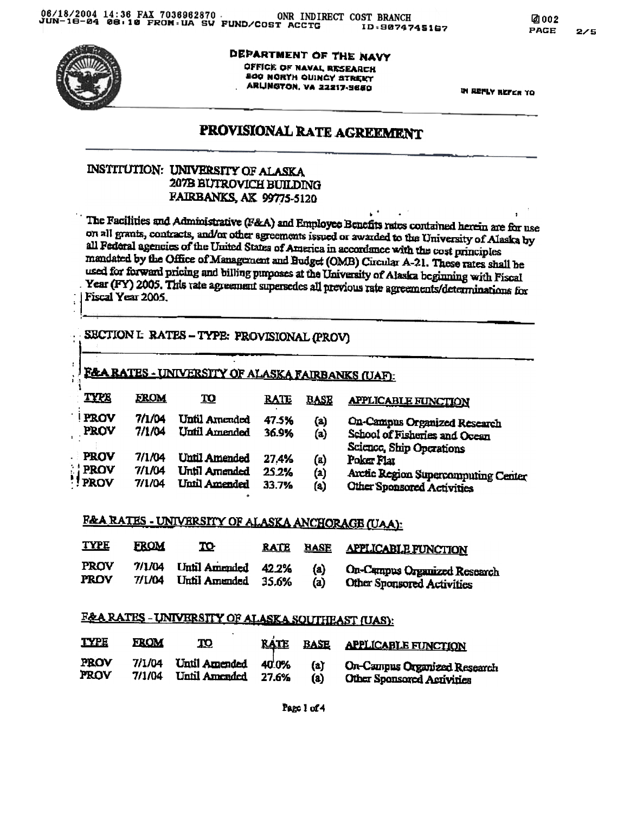

 $\ddot{\phantom{a}}$ 

÷

 $\mathbf{I}$ 

DEPARTMENT OF THE NAVY OFFICE OF NAVAL RESEARCH SOG NORTH OUINCY STREET ARLINGTON, VA 22217-9650

**IN REPLY REFER TO** 

# PROVISIONAL RATE AGREEMENT

## **INSTITUTION: UNIVERSITY OF ALASKA** 207B BUTROVICH BUILDING FAIRBANKS, AK 99775-5120

The Facilities and Administrative (F&A) and Employee Benefits rates contained herein are for use on all grants, contracts, and/or other agreements issued or awarded to the University of Alaska by all Pederal agencies of the United States of America in accordance with the cost principles mandated by the Office of Management and Budget (OMB) Circular A-21. These rates shall be used for forward pricing and billing purposes at the University of Alaska beginning with Fiscal Year (FY) 2005. This rate agreement supersedes all previous rate agreements/determinations for Fiscal Year 2005.

## SECTION I: RATES - TYPE: PROVISIONAL (PROV)

## F&A RATES - UNIVERSITY OF ALASKA FAIRBANKS (UAF):

| <b>TYPE</b>                          | <b>FROM</b>                | <u>TO</u>                                                    | <b>RATE</b>             | <b>BASE</b>                     | <b>APPLICABLE FUNCTION</b>                                                                              |
|--------------------------------------|----------------------------|--------------------------------------------------------------|-------------------------|---------------------------------|---------------------------------------------------------------------------------------------------------|
| <b>PROV</b><br>PROV                  | 7/1/04<br>7/1/04           | Until Amended<br>Until Amended                               | 47.5%<br>36.9%          | (a)<br>(a)                      | <b>On-Campus Organized Research</b><br>School of Fisheries and Ocean<br><b>Science, Ship Operations</b> |
| <b>PROV</b><br><b>PROV</b><br>! PROV | 7/1/04<br>7/1/04<br>7/1/04 | <b>Until Amended</b><br>Until Amended<br><b>Unil Amended</b> | 27.4%<br>25.2%<br>33.7% | (a)<br>$\left( 2\right)$<br>(a) | Poker Flat<br>Arctic Region Supercomputing Center<br><b>Other Sponsored Activities</b>                  |

# **F&A RATES - UNIVERSITY OF ALASKA ANCHORAGE (UAA):**

| <b>TYPE</b> | <b>FROM</b> | TO-                 | <b>RATE</b> | <b>BASE</b> | <b>APPLICABLE FUNCTION</b>          |
|-------------|-------------|---------------------|-------------|-------------|-------------------------------------|
| <b>PROV</b> | 7/1/04      | Until Amended 42.2% |             | (a)         | <b>On-Campus Organized Research</b> |
| PROV        | 7/1/04      | Until Amended 35.6% |             | (a)         | <b>Other Sponsored Activities</b>   |

## F&A RATES - UNIVERSITY OF ALASKA SOUTHEAST (UAS):

| <b>TYPE</b> | <b>FROM</b> | <u>TO</u>     | <b>RATE</b> | <b>BASE</b> | <b>APPLICABLE FUNCTION</b>        |
|-------------|-------------|---------------|-------------|-------------|-----------------------------------|
| PROV        | 7/1/04      | Until Amended | 40.0%       | (a)         | On-Campus Organized Research      |
| PROV        | 7/1/04      | Until Amended | 27.6%       | $\bf(a)$    | <b>Other Sponsored Activities</b> |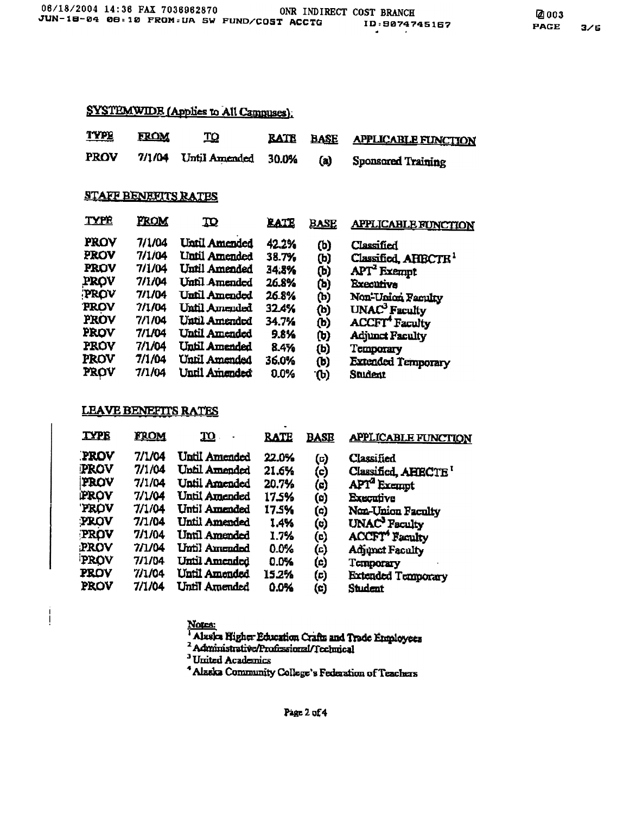## SYSTEMWIDE (Applies to All Campuses).

| <b>TYPE</b> | <b>FROM</b> | <u>TQ</u>                  |     | RATE BASE APPLICABLE FUNCTION |
|-------------|-------------|----------------------------|-----|-------------------------------|
| <b>PROV</b> |             | 7/1/04 Until Amended 30.0% | (a) | Sponsored Training            |

### **STAFF BENEFITS RATES**

| <b>TYPE</b> | FROM   | <u>70</u>            | <b>RATE</b> | <u>BASE</u>  | <b>APPLICABLE FUNCTION</b>        |
|-------------|--------|----------------------|-------------|--------------|-----------------------------------|
| PROV        | 7/1/04 | Until Amended        | 42.2%       | (b)          | Classified                        |
| PROV        | 7/1/04 | <b>Until Amended</b> | 38.7%       | (b)          | Classified, AHBCTR <sup>1</sup>   |
| <b>PROV</b> | 7/1/04 | Until Amended        | 34.8%       | (b)          | APT <sup>2</sup> Exempt           |
| PROV        | 7/1/04 | Until Amended        | 26.8%       | (b)          | <b>Executive</b>                  |
| PROV        | 7/1/04 | Until Amended        | 26.8%       | (b)          | Non-Union Faculty                 |
| <b>PROV</b> | 7/1/04 | <b>Until Amended</b> | 32.4%       | (b)          | UNAC <sup>3</sup> Faculty         |
| PROV        | 7/1/04 | Until Amended        | 34.7%       | (b)          | <b>ACCFT</b> <sup>4</sup> Faculty |
| PROV        | 7/1/04 | Until Amended        | 9.8%        | (b)          | <b>Adjunct Faculty</b>            |
| <b>PROV</b> | 7/1/04 | Until Amended        | 8.4%        | (b)          | Temporary                         |
| <b>PROV</b> | 7/1/04 | Until Amended        | 36.0%       | $\mathbf{b}$ | <b>Extended Temporary</b>         |
| PROV        | 7/1/04 | Until Amended        | 0.0%        | ัው)          | Student                           |
|             |        |                      |             |              |                                   |

### **LEAVE BENEFTTS RATES**

 $\overline{1}$ 

| <b>TYPE</b> | FROM   | <u>m</u>             | <b>RATE</b> | <b>BASE</b> | <b>APPLICABLE FUNCTION</b>        |
|-------------|--------|----------------------|-------------|-------------|-----------------------------------|
| PROV        | 7/1/04 | <b>Until Amended</b> | 22.0%       | (¤)         | Classified                        |
| <b>PROV</b> | 7/1/04 | Until Amended        | 21.6%       | (c)         | Classified, AHBCTE <sup>I</sup>   |
| PROV        | 7/1/04 | Until Amended        | 20.7%       | (၁)         | APT <sup>a</sup> Exempt           |
| PROV        | 7/1/04 | <b>Until Amended</b> | 17.5%       | $\circ$     | Executive                         |
| <b>PROV</b> | 7/1/04 | Until Amended        | 17.5%       | (၁)         | Non-Union Faculty                 |
| PROV        | 7/1/04 | Until Amended        | 1.4%        | (၀)         | UNAC <sup>3</sup> Faculty         |
| PROV        | 7/1/04 | Until Amended        | 1.7%        | (c)         | <b>ACCFT</b> <sup>4</sup> Faculty |
| PROV        | 7/1/04 | Until Amended        | 0.0%        | (ධ)         | Adjunct Faculty                   |
| PROV        | 7/1/04 | Until Amended        | 0.0%        | (්)         | Temporary                         |
| <b>PROV</b> | 7/1/04 | <b>Until Amended</b> | 15.2%       | (c)         | <b>Extended Temporary</b>         |
| PROV        | 7/1/04 | Until Amended        | 0.0%        | (၁)         | Student                           |

Notes:<br>| Alaska Higher Education Crafts and Trade Employees

<sup>3</sup> United Academics

<sup>4</sup> Alaska Community College's Federation of Teachers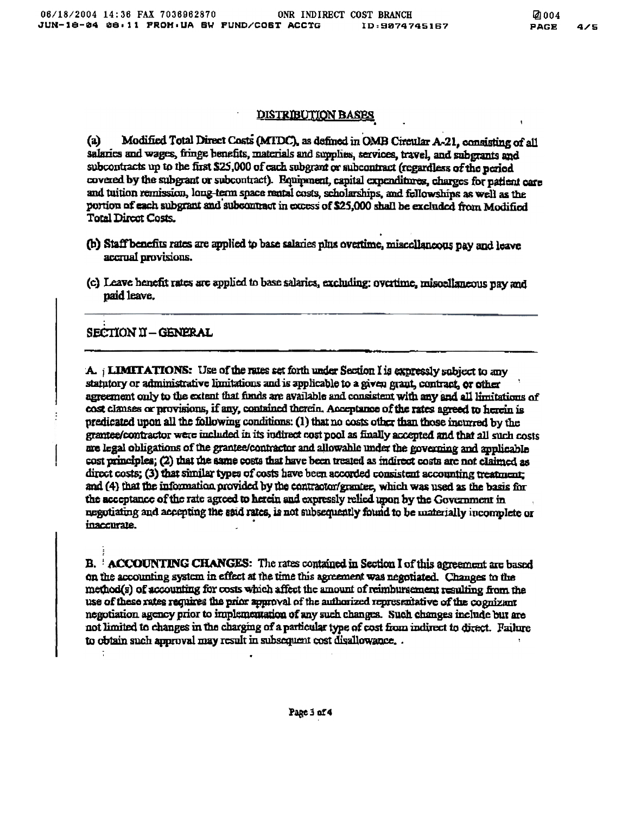#### **DISTRIBUTION BASES**

Modified Total Direct Costs (MTDC), as defined in OMB Circular A-21, consisting of all  $(a)$ salaries and wages, fringe benefits, materials and supplies, services, travel, and subgrants and subcontracts up to the first \$25,000 of each subgrant or subcontract (regardless of the period covered by the subgrant or subcontract). Equipment, capital expenditures, charges for patient care and tuition remission, long-term space rental costs, scholarships, and fellowships as well as the portion of each subgrant and subcontract in excess of \$25,000 shall be excluded from Modified **Total Direct Costs.** 

- (b) Staff benefits rates are applied to base salaries plus overtime, miscellaneous pay and leave accrual provisions.
- (c) Leave henefit rates are applied to base salaries, excluding; overtime, misoellaneous pay and paid leave.

### SECTION II - GENERAL

A. i LIMITATIONS: Use of the rates set forth under Section I is expressly subject to any statutory or administrative limitations and is applicable to a given grant, contract, or other agreement only to the extent that fimds are available and consistent with any and all limitations of cost clanses or provisions, if any, contained therein. Acceptance of the rates agreed to herein is predicated upon all the following conditions: (1) that no costs other than those incurred by the grantee/contractor were included in its indirect cost pool as finally accepted and that all such costs are legal obligations of the grantee/contractor and allowable under the governing and applicable cost principles; (2) that the same costs that have been treated as indirect costs are not claimed as direct costs; (3) that similar types of costs have been accorded consistent accounting treatment: and (4) that the information provided by the contractor/grantee, which was used as the basis for the acceptance of the rate agreed to herein and expressly relied upon by the Government in negotiating and accepting the said rates, is not subsequently found to be materially incomplete or inaccurate.

B. ACCOUNTING CHANGES: The rates contained in Section I of this agreement are based on the accounting system in effect at the time this agreement was negotiated. Changes to the method(s) of accounting for costs which affect the amount of reimburgement resulting from the use of these rates requires the prior approval of the authorized representative of the cognizant negotiation agency prior to implementation of any such changes. Such changes include but are not limited to changes in the charging of a particular type of cost from indirect to direct. Failure to obtain such approval may result in subsequent cost disallowance...